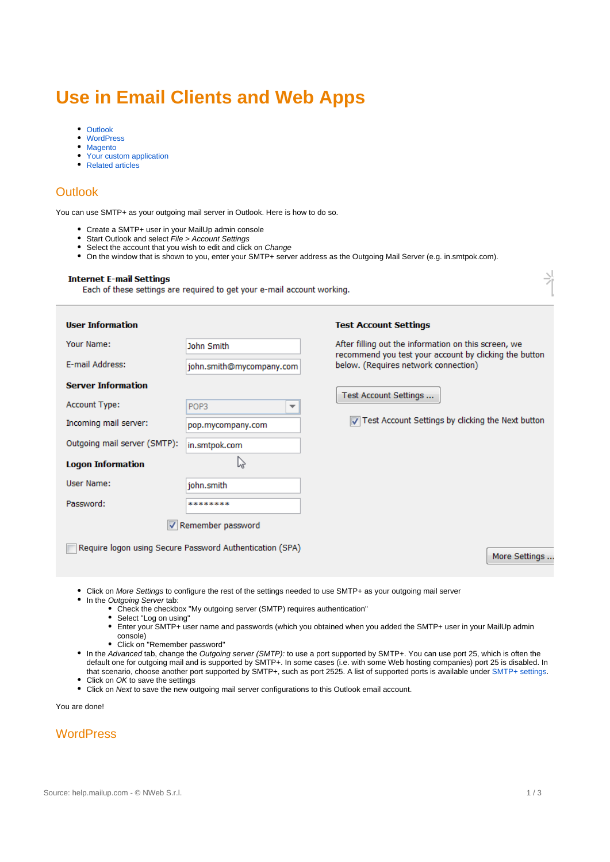# **Use in Email Clients and Web Apps**

- [Outlook](#page-0-0)
- $\bullet$ **[WordPress](#page-0-1)**
- [Magento](#page-1-0)
- [Your custom application](#page-1-1)
- [Related articles](#page-1-2)

# <span id="page-0-0"></span>**Outlook**

You can use SMTP+ as your outgoing mail server in Outlook. Here is how to do so.

- Create a SMTP+ user in your MailUp admin console
- Start Outlook and select File > Account Settings
- Select the account that you wish to edit and click on Change  $\bullet$
- On the window that is shown to you, enter your SMTP+ server address as the Outgoing Mail Server (e.g. in.smtpok.com).

### **Internet E-mail Settings**

Each of these settings are required to get your e-mail account working.

| <b>User Information</b>                    |                                                          | <b>Test Account Settings</b>                                                                   |  |
|--------------------------------------------|----------------------------------------------------------|------------------------------------------------------------------------------------------------|--|
| Your Name:                                 | John Smith                                               | After filling out the information on this screen, we                                           |  |
| E-mail Address:                            | john.smith@mycompany.com                                 | recommend you test your account by clicking the button<br>below. (Requires network connection) |  |
| <b>Server Information</b><br>Account Type: | POP <sub>3</sub><br>▼                                    | Test Account Settings                                                                          |  |
| Incoming mail server:                      | pop.mycompany.com                                        | Test Account Settings by clicking the Next button                                              |  |
| Outgoing mail server (SMTP):               | in.smtpok.com                                            |                                                                                                |  |
| <b>Logon Information</b>                   | rz,                                                      |                                                                                                |  |
| User Name:                                 | john.smith                                               |                                                                                                |  |
| Password:                                  | ********                                                 |                                                                                                |  |
|                                            | Remember password                                        |                                                                                                |  |
|                                            | Require logon using Secure Password Authentication (SPA) | More Settings                                                                                  |  |
|                                            |                                                          |                                                                                                |  |

- Click on More Settings to configure the rest of the settings needed to use SMTP+ as your outgoing mail server
- In the Outgoing Server tab:
	- Check the checkbox "My outgoing server (SMTP) requires authentication"
	- Select "Log on using"
	- Enter your SMTP+ user name and passwords (which you obtained when you added the SMTP+ user in your MailUp admin console)
	- Click on "Remember password"
- In the Advanced tab, change the Outgoing server (SMTP): to use a port supported by SMTP+. You can use port 25, which is often the default one for outgoing mail and is supported by SMTP+. In some cases (i.e. with some Web hosting companies) port 25 is disabled. In that scenario, choose another port supported by SMTP+, such as port 2525. A list of supported ports is available under [SMTP+ settings.](https://help.mailup.com/display/MUG/SMTP+Settings) • Click on OK to save the settings
- 
- Click on Next to save the new outgoing mail server configurations to this Outlook email account.

You are done!

<span id="page-0-1"></span>**WordPress** 

斗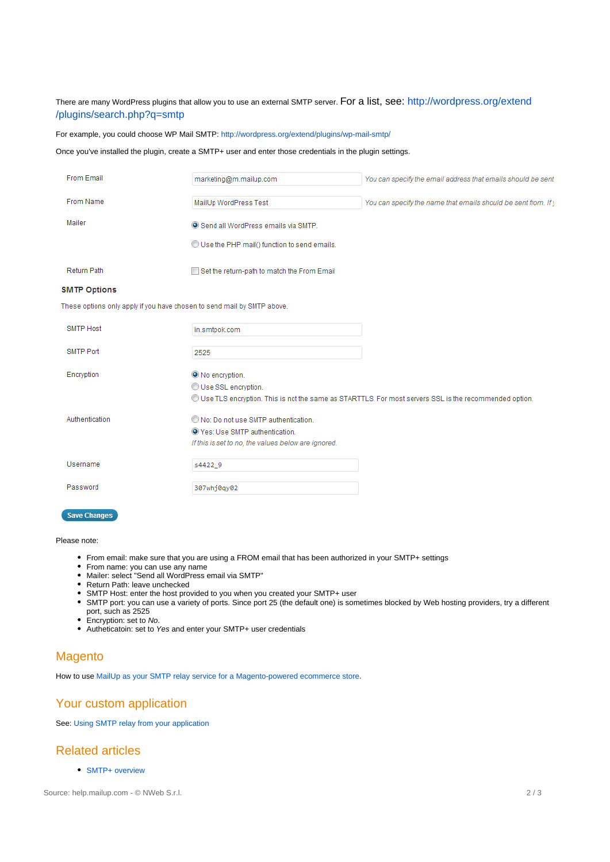## There are many WordPress plugins that allow you to use an external SMTP server. For a list, see: [http://wordpress.org/extend](http://wordpress.org/extend/plugins/search.php?q=smtp) [/plugins/search.php?q=smtp](http://wordpress.org/extend/plugins/search.php?q=smtp)

For example, you could choose WP Mail SMTP: <http://wordpress.org/extend/plugins/wp-mail-smtp/>

## Once you've installed the plugin, create a SMTP+ user and enter those credentials in the plugin settings.

| From Email                                                              | marketing@m.mailup.com                              | You can specify the email address that emails should be sent                                           |
|-------------------------------------------------------------------------|-----------------------------------------------------|--------------------------------------------------------------------------------------------------------|
| From Name                                                               | MailUp WordPress Test                               | You can specify the name that emails should be sent from. If y                                         |
| Mailer                                                                  | Send all WordPress emails via SMTP.                 |                                                                                                        |
|                                                                         | Use the PHP mail() function to send emails.         |                                                                                                        |
| <b>Return Path</b>                                                      | Set the return-path to match the From Email         |                                                                                                        |
| <b>SMTP Options</b>                                                     |                                                     |                                                                                                        |
| These options only apply if you have chosen to send mail by SMTP above. |                                                     |                                                                                                        |
| <b>SMTP Host</b>                                                        | in.smtpok.com                                       |                                                                                                        |
| <b>SMTP Port</b>                                                        | 2525                                                |                                                                                                        |
| Encryption                                                              | O No encryption.                                    |                                                                                                        |
|                                                                         | Use SSL encryption.                                 | OUse TLS encryption. This is not the same as STARTTLS. For most servers SSL is the recommended option. |
| Authentication                                                          | No: Do not use SMTP authentication.                 |                                                                                                        |
|                                                                         | O Yes: Use SMTP authentication.                     |                                                                                                        |
|                                                                         | If this is set to no, the values below are ignored. |                                                                                                        |
| Username                                                                | s4422 9                                             |                                                                                                        |
| Password                                                                | 307whj0qy02                                         |                                                                                                        |
| <b>Save Changes</b>                                                     |                                                     |                                                                                                        |

### Please note:

- From email: make sure that you are using a FROM email that has been authorized in your SMTP+ settings
- From name: you can use any name
- Mailer: select "Send all WordPress email via SMTP"
- Return Path: leave unchecked
- SMTP Host: enter the host provided to you when you created your SMTP+ user
- SMTP port: you can use a variety of ports. Since port 25 (the default one) is sometimes blocked by Web hosting providers, try a different port, such as 2525
- Encryption: set to No.
- Autheticatoin: set to Yes and enter your SMTP+ user credentials

## <span id="page-1-0"></span>**Magento**

How to use [MailUp as your SMTP relay service for a Magento-powered ecommerce store.](https://help.mailup.com/pages/viewpage.action?pageId=11863065)

## <span id="page-1-1"></span>Your custom application

See: [Using SMTP relay from your application](https://help.mailup.com/display/mailupapi/Using+SMTP+relay+from+your+application)

## <span id="page-1-2"></span>Related articles

• [SMTP+ overview](http://confluence.ss.mailup.it/pages/viewpage.action?pageId=11862729)